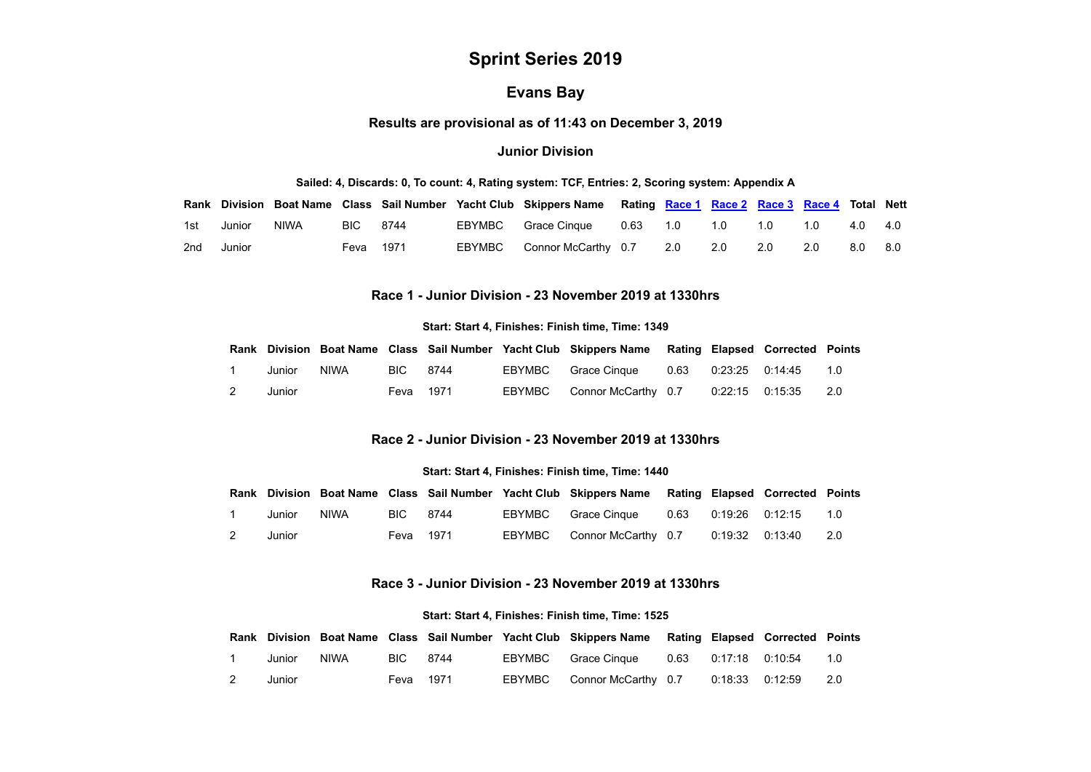# **Sprint Series 2019**

## **Evans Bay**

**Results are provisional as of 11:43 on December 3, 2019**

#### **Junior Division**

#### **Sailed: 4, Discards: 0, To count: 4, Rating system: TCF, Entries: 2, Scoring system: Appendix A**

<span id="page-0-0"></span>

|            |      |           |  | Rank Division Boat Name Class Sail Number Yacht Club Skippers Name Rating Race 1 Race 2 Race 3 Race 4 Total Nett |  |     |     |     |     |
|------------|------|-----------|--|------------------------------------------------------------------------------------------------------------------|--|-----|-----|-----|-----|
| 1st Junior | NIWA | BIC 8744  |  | EBYMBC Grace Cinque 0.63 1.0 1.0 1.0                                                                             |  |     | 1.0 | 4.0 | 4.0 |
| 2nd Junior |      | Feva 1971 |  | EBYMBC Connor McCarthy 0.7 2.0 2.0                                                                               |  | 2.0 | 2.0 | 8.0 | 8.0 |

## **Race 1 - Junior Division - 23 November 2019 at 1330hrs**

#### **Start: Start 4, Finishes: Finish time, Time: 1349**

|                |        |             |           |  | Rank Division Boat Name Class Sail Number Yacht Club Skippers Name Rating Elapsed Corrected Points |                   |     |
|----------------|--------|-------------|-----------|--|----------------------------------------------------------------------------------------------------|-------------------|-----|
|                | Junior | <b>NIWA</b> | BIC 8744  |  | EBYMBC Grace Cinque 0.63 0:23:25 0:14:45 1.0                                                       |                   |     |
| $\overline{2}$ | Junior |             | Feva 1971 |  | EBYMBC Connor McCarthy 0.7                                                                         | 0:22:15   0:15:35 | 2.0 |

## **Race 2 - Junior Division - 23 November 2019 at 1330hrs**

#### **Start: Start 4, Finishes: Finish time, Time: 1440**

<span id="page-0-1"></span>

|                |        |             |           |  | Rank Division Boat Name Class Sail Number Yacht Club Skippers Name Rating Elapsed Corrected Points |                   |       |
|----------------|--------|-------------|-----------|--|----------------------------------------------------------------------------------------------------|-------------------|-------|
|                | Junior | <b>NIWA</b> | BIC 8744  |  | EBYMBC Grace Cinque                                                                                |                   | 1.0   |
| $\overline{2}$ | Junior |             | Feva 1971 |  | EBYMBC Connor McCarthy 0.7                                                                         | 0:19:32   0:13:40 | - 2.0 |

## **Race 3 - Junior Division - 23 November 2019 at 1330hrs**

#### **Start: Start 4, Finishes: Finish time, Time: 1525**

<span id="page-0-2"></span>

|   |        |      |           |  | Rank Division Boat Name Class Sail Number Yacht Club Skippers Name Rating Elapsed Corrected Points |  |     |
|---|--------|------|-----------|--|----------------------------------------------------------------------------------------------------|--|-----|
|   | Junior | NIWA | BIC 8744  |  | EBYMBC Grace Cinque  0.63  0:17:18  0:10:54  1.0                                                   |  |     |
| 2 | Junior |      | Feva 1971 |  | EBYMBC Connor McCarthy 0.7 0:18:33 0:12:59                                                         |  | 2.0 |